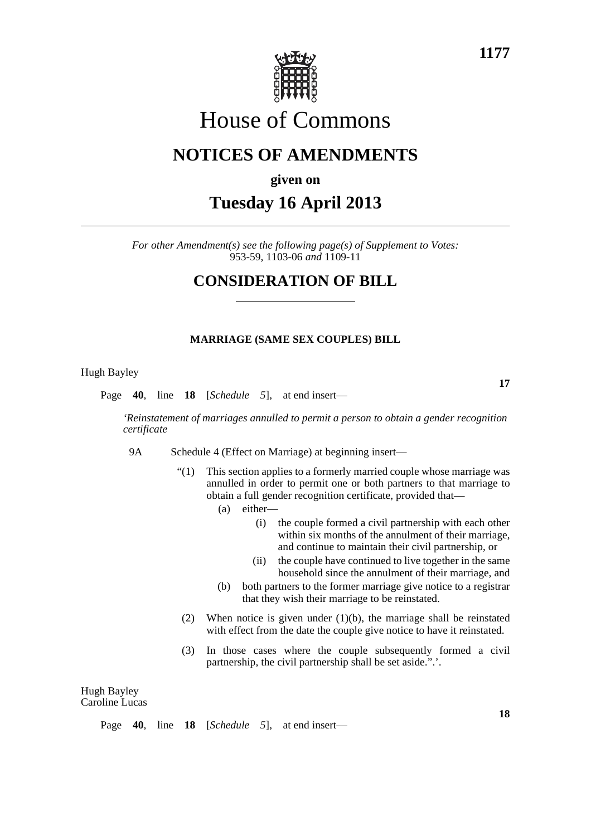

# House of Commons

## **NOTICES OF AMENDMENTS**

### **given on**

# **Tuesday 16 April 2013**

*For other Amendment(s) see the following page(s) of Supplement to Votes:* 953-59, 1103-06 *and* 1109-11

### **CONSIDERATION OF BILL**

### **MARRIAGE (SAME SEX COUPLES) BILL**

#### Hugh Bayley

Page **40**, line **18** [*Schedule 5*], at end insert—

*'Reinstatement of marriages annulled to permit a person to obtain a gender recognition certificate*

- 9A Schedule 4 (Effect on Marriage) at beginning insert—
	- "(1) This section applies to a formerly married couple whose marriage was annulled in order to permit one or both partners to that marriage to obtain a full gender recognition certificate, provided that—
		- (a) either—
			- (i) the couple formed a civil partnership with each other within six months of the annulment of their marriage, and continue to maintain their civil partnership, or
			- (ii) the couple have continued to live together in the same household since the annulment of their marriage, and
		- (b) both partners to the former marriage give notice to a registrar that they wish their marriage to be reinstated.
	- (2) When notice is given under (1)(b), the marriage shall be reinstated with effect from the date the couple give notice to have it reinstated.
	- (3) In those cases where the couple subsequently formed a civil partnership, the civil partnership shall be set aside.".'.

Hugh Bayley Caroline Lucas

|  |  |  |  |  |  | Page $40$ , line $18$ [ <i>Schedule 5</i> ], at end insert— |
|--|--|--|--|--|--|-------------------------------------------------------------|
|--|--|--|--|--|--|-------------------------------------------------------------|

**18**

**17**